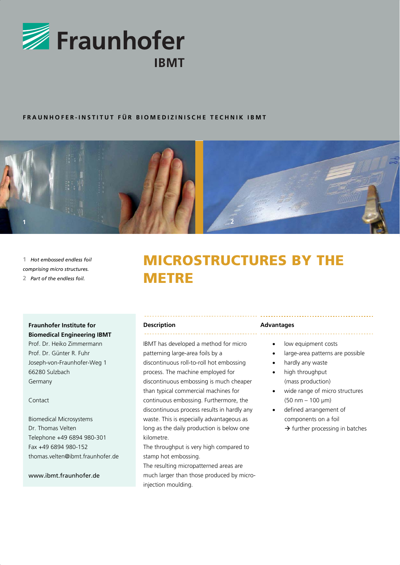

#### **FRAUNHOFER-INSTITUT FÜR BIOMEDIZINISCHE TECHNIK IBMT**



**1** *Hot embossed endless foil comprising micro structures.*  **2** *Part of the endless foil.*

# MICROSTRUCTURES BY THE **METRE**

### **Fraunhofer Institute for**

**Biomedical Engineering IBMT**  Prof. Dr. Heiko Zimmermann Prof. Dr. Günter R. Fuhr Joseph-von-Fraunhofer-Weg 1 66280 Sulzbach Germany

Contact

Biomedical Microsystems Dr. Thomas Velten Telephone +49 6894 980-301 Fax +49 6894 980-152 thomas.velten@ibmt.fraunhofer.de

www.ibmt.fraunhofer.de

#### **Description**

IBMT has developed a method for micro patterning large-area foils by a discontinuous roll-to-roll hot embossing process. The machine employed for discontinuous embossing is much cheaper than typical commercial machines for continuous embossing. Furthermore, the discontinuous process results in hardly any waste. This is especially advantageous as long as the daily production is below one kilometre.

The throughput is very high compared to stamp hot embossing. The resulting micropatterned areas are much larger than those produced by microinjection moulding.

#### **Advantages**

- low equipment costs
- large-area patterns are possible
- hardly any waste
- high throughput (mass production)
- wide range of micro structures (50 nm – 100 μm)
- defined arrangement of components on a foil
	- $\rightarrow$  further processing in batches